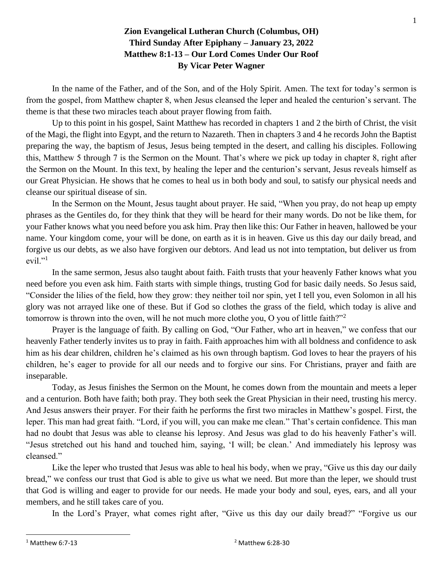## **Zion Evangelical Lutheran Church (Columbus, OH) Third Sunday After Epiphany – January 23, 2022 Matthew 8:1-13 – Our Lord Comes Under Our Roof By Vicar Peter Wagner**

In the name of the Father, and of the Son, and of the Holy Spirit. Amen. The text for today's sermon is from the gospel, from Matthew chapter 8, when Jesus cleansed the leper and healed the centurion's servant. The theme is that these two miracles teach about prayer flowing from faith.

Up to this point in his gospel, Saint Matthew has recorded in chapters 1 and 2 the birth of Christ, the visit of the Magi, the flight into Egypt, and the return to Nazareth. Then in chapters 3 and 4 he records John the Baptist preparing the way, the baptism of Jesus, Jesus being tempted in the desert, and calling his disciples. Following this, Matthew 5 through 7 is the Sermon on the Mount. That's where we pick up today in chapter 8, right after the Sermon on the Mount. In this text, by healing the leper and the centurion's servant, Jesus reveals himself as our Great Physician. He shows that he comes to heal us in both body and soul, to satisfy our physical needs and cleanse our spiritual disease of sin.

In the Sermon on the Mount, Jesus taught about prayer. He said, "When you pray, do not heap up empty phrases as the Gentiles do, for they think that they will be heard for their many words. Do not be like them, for your Father knows what you need before you ask him. Pray then like this: Our Father in heaven, hallowed be your name. Your kingdom come, your will be done, on earth as it is in heaven. Give us this day our daily bread, and forgive us our debts, as we also have forgiven our debtors. And lead us not into temptation, but deliver us from  $evil.$ <sup>"1</sup>

In the same sermon, Jesus also taught about faith. Faith trusts that your heavenly Father knows what you need before you even ask him. Faith starts with simple things, trusting God for basic daily needs. So Jesus said, "Consider the lilies of the field, how they grow: they neither toil nor spin, yet I tell you, even Solomon in all his glory was not arrayed like one of these. But if God so clothes the grass of the field, which today is alive and tomorrow is thrown into the oven, will he not much more clothe you, O you of little faith?"<sup>2</sup>

Prayer is the language of faith. By calling on God, "Our Father, who art in heaven," we confess that our heavenly Father tenderly invites us to pray in faith. Faith approaches him with all boldness and confidence to ask him as his dear children, children he's claimed as his own through baptism. God loves to hear the prayers of his children, he's eager to provide for all our needs and to forgive our sins. For Christians, prayer and faith are inseparable.

Today, as Jesus finishes the Sermon on the Mount, he comes down from the mountain and meets a leper and a centurion. Both have faith; both pray. They both seek the Great Physician in their need, trusting his mercy. And Jesus answers their prayer. For their faith he performs the first two miracles in Matthew's gospel. First, the leper. This man had great faith. "Lord, if you will, you can make me clean." That's certain confidence. This man had no doubt that Jesus was able to cleanse his leprosy. And Jesus was glad to do his heavenly Father's will. "Jesus stretched out his hand and touched him, saying, 'I will; be clean.' And immediately his leprosy was cleansed."

Like the leper who trusted that Jesus was able to heal his body, when we pray, "Give us this day our daily bread," we confess our trust that God is able to give us what we need. But more than the leper, we should trust that God is willing and eager to provide for our needs. He made your body and soul, eyes, ears, and all your members, and he still takes care of you.

In the Lord's Prayer, what comes right after, "Give us this day our daily bread?" "Forgive us our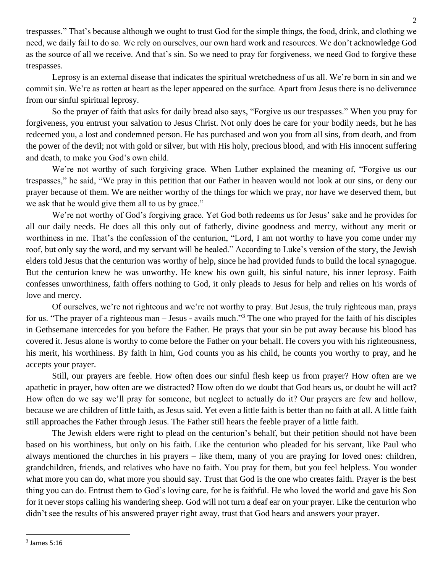trespasses." That's because although we ought to trust God for the simple things, the food, drink, and clothing we need, we daily fail to do so. We rely on ourselves, our own hard work and resources. We don't acknowledge God as the source of all we receive. And that's sin. So we need to pray for forgiveness, we need God to forgive these trespasses.

Leprosy is an external disease that indicates the spiritual wretchedness of us all. We're born in sin and we commit sin. We're as rotten at heart as the leper appeared on the surface. Apart from Jesus there is no deliverance from our sinful spiritual leprosy.

So the prayer of faith that asks for daily bread also says, "Forgive us our trespasses." When you pray for forgiveness, you entrust your salvation to Jesus Christ. Not only does he care for your bodily needs, but he has redeemed you, a lost and condemned person. He has purchased and won you from all sins, from death, and from the power of the devil; not with gold or silver, but with His holy, precious blood, and with His innocent suffering and death, to make you God's own child.

We're not worthy of such forgiving grace. When Luther explained the meaning of, "Forgive us our trespasses," he said, "We pray in this petition that our Father in heaven would not look at our sins, or deny our prayer because of them. We are neither worthy of the things for which we pray, nor have we deserved them, but we ask that he would give them all to us by grace."

We're not worthy of God's forgiving grace. Yet God both redeems us for Jesus' sake and he provides for all our daily needs. He does all this only out of fatherly, divine goodness and mercy, without any merit or worthiness in me. That's the confession of the centurion, "Lord, I am not worthy to have you come under my roof, but only say the word, and my servant will be healed." According to Luke's version of the story, the Jewish elders told Jesus that the centurion was worthy of help, since he had provided funds to build the local synagogue. But the centurion knew he was unworthy. He knew his own guilt, his sinful nature, his inner leprosy. Faith confesses unworthiness, faith offers nothing to God, it only pleads to Jesus for help and relies on his words of love and mercy.

Of ourselves, we're not righteous and we're not worthy to pray. But Jesus, the truly righteous man, prays for us. "The prayer of a righteous man – Jesus - avails much."<sup>3</sup> The one who prayed for the faith of his disciples in Gethsemane intercedes for you before the Father. He prays that your sin be put away because his blood has covered it. Jesus alone is worthy to come before the Father on your behalf. He covers you with his righteousness, his merit, his worthiness. By faith in him, God counts you as his child, he counts you worthy to pray, and he accepts your prayer.

Still, our prayers are feeble. How often does our sinful flesh keep us from prayer? How often are we apathetic in prayer, how often are we distracted? How often do we doubt that God hears us, or doubt he will act? How often do we say we'll pray for someone, but neglect to actually do it? Our prayers are few and hollow, because we are children of little faith, as Jesus said. Yet even a little faith is better than no faith at all. A little faith still approaches the Father through Jesus. The Father still hears the feeble prayer of a little faith.

The Jewish elders were right to plead on the centurion's behalf, but their petition should not have been based on his worthiness, but only on his faith. Like the centurion who pleaded for his servant, like Paul who always mentioned the churches in his prayers – like them, many of you are praying for loved ones: children, grandchildren, friends, and relatives who have no faith. You pray for them, but you feel helpless. You wonder what more you can do, what more you should say. Trust that God is the one who creates faith. Prayer is the best thing you can do. Entrust them to God's loving care, for he is faithful. He who loved the world and gave his Son for it never stops calling his wandering sheep. God will not turn a deaf ear on your prayer. Like the centurion who didn't see the results of his answered prayer right away, trust that God hears and answers your prayer.

 $3$  James 5:16